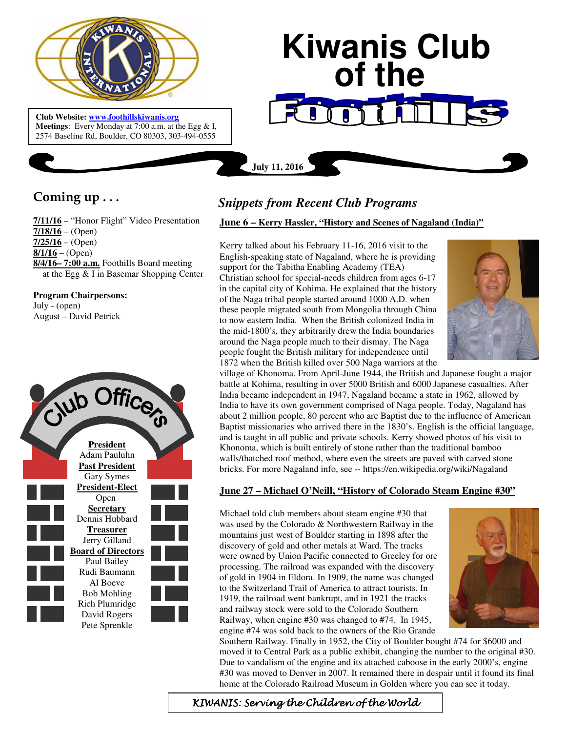

 **Meetings**: Every Monday at 7:00 a.m. at the Egg & I, **Club Website: www.foothillskiwanis.org** 2574 Baseline Rd, Boulder, CO 80303, 303-494-0555

# **Kiwanis Club of the**

## **July 11, 2016**

# **Coming up . . .**

**7/11/16** – "Honor Flight" Video Presentation **7/18/16** – (Open) **7/25/16** – (Open) **8/1/16** – (Open) **8/4/16– 7:00 a.m.** Foothills Board meeting at the Egg & I in Basemar Shopping Center

**Program Chairpersons:** July - (open) August – David Petrick



# *Snippets from Recent Club Programs*

### **June 6 – Kerry Hassler, "History and Scenes of Nagaland (India)"**

Kerry talked about his February 11-16, 2016 visit to the English-speaking state of Nagaland, where he is providing support for the Tabitha Enabling Academy (TEA) Christian school for special-needs children from ages 6-17 in the capital city of Kohima. He explained that the history of the Naga tribal people started around 1000 A.D. when these people migrated south from Mongolia through China to now eastern India. When the British colonized India in the mid-1800's, they arbitrarily drew the India boundaries around the Naga people much to their dismay. The Naga people fought the British military for independence until 1872 when the British killed over 500 Naga warriors at the



village of Khonoma. From April-June 1944, the British and Japanese fought a major battle at Kohima, resulting in over 5000 British and 6000 Japanese casualties. After India became independent in 1947, Nagaland became a state in 1962, allowed by India to have its own government comprised of Naga people. Today, Nagaland has about 2 million people, 80 percent who are Baptist due to the influence of American Baptist missionaries who arrived there in the 1830's. English is the official language, and is taught in all public and private schools. Kerry showed photos of his visit to Khonoma, which is built entirely of stone rather than the traditional bamboo walls/thatched roof method, where even the streets are paved with carved stone bricks. For more Nagaland info, see -- https://en.wikipedia.org/wiki/Nagaland

### **June 27 – Michael O'Neill, "History of Colorado Steam Engine #30"**

Michael told club members about steam engine #30 that was used by the Colorado & Northwestern Railway in the mountains just west of Boulder starting in 1898 after the discovery of gold and other metals at Ward. The tracks were owned by Union Pacific connected to Greeley for ore processing. The railroad was expanded with the discovery of gold in 1904 in Eldora. In 1909, the name was changed to the Switzerland Trail of America to attract tourists. In 1919, the railroad went bankrupt, and in 1921 the tracks and railway stock were sold to the Colorado Southern Railway, when engine #30 was changed to #74. In 1945, engine #74 was sold back to the owners of the Rio Grande



Southern Railway. Finally in 1952, the City of Boulder bought #74 for \$6000 and moved it to Central Park as a public exhibit, changing the number to the original #30. Due to vandalism of the engine and its attached caboose in the early 2000's, engine #30 was moved to Denver in 2007. It remained there in despair until it found its final home at the Colorado Railroad Museum in Golden where you can see it today.

KIWANIS: Serving the Children of the World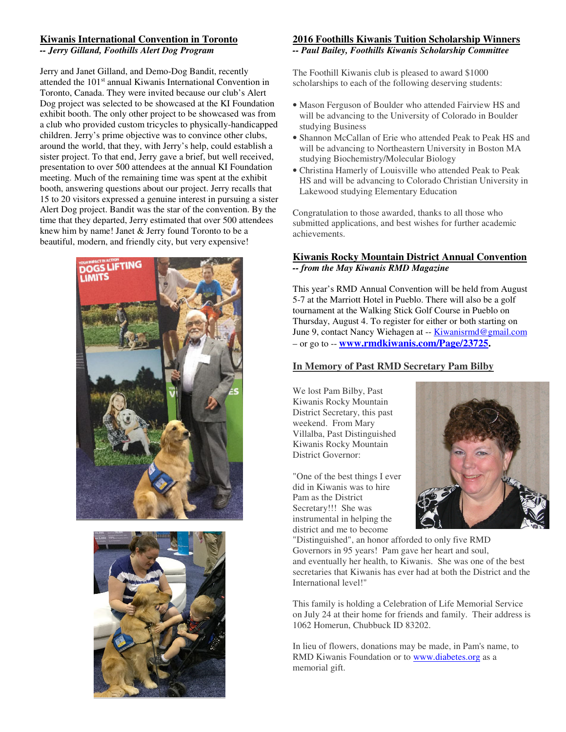### **Kiwanis International Convention in Toronto**

*-- Jerry Gilland, Foothills Alert Dog Program* 

Jerry and Janet Gilland, and Demo-Dog Bandit, recently attended the 101<sup>st</sup> annual Kiwanis International Convention in Toronto, Canada. They were invited because our club's Alert Dog project was selected to be showcased at the KI Foundation exhibit booth. The only other project to be showcased was from a club who provided custom tricycles to physically-handicapped children. Jerry's prime objective was to convince other clubs, around the world, that they, with Jerry's help, could establish a sister project. To that end, Jerry gave a brief, but well received, presentation to over 500 attendees at the annual KI Foundation meeting. Much of the remaining time was spent at the exhibit booth, answering questions about our project. Jerry recalls that 15 to 20 visitors expressed a genuine interest in pursuing a sister Alert Dog project. Bandit was the star of the convention. By the time that they departed, Jerry estimated that over 500 attendees knew him by name! Janet & Jerry found Toronto to be a beautiful, modern, and friendly city, but very expensive!





### **2016 Foothills Kiwanis Tuition Scholarship Winners**  *-- Paul Bailey, Foothills Kiwanis Scholarship Committee*

The Foothill Kiwanis club is pleased to award \$1000 scholarships to each of the following deserving students:

- Mason Ferguson of Boulder who attended Fairview HS and will be advancing to the University of Colorado in Boulder studying Business
- Shannon McCallan of Erie who attended Peak to Peak HS and will be advancing to Northeastern University in Boston MA studying Biochemistry/Molecular Biology
- Christina Hamerly of Louisville who attended Peak to Peak HS and will be advancing to Colorado Christian University in Lakewood studying Elementary Education

Congratulation to those awarded, thanks to all those who submitted applications, and best wishes for further academic achievements.

### **Kiwanis Rocky Mountain District Annual Convention**  *-- from the May Kiwanis RMD Magazine*

This year's RMD Annual Convention will be held from August 5-7 at the Marriott Hotel in Pueblo. There will also be a golf tournament at the Walking Stick Golf Course in Pueblo on Thursday, August 4. To register for either or both starting on June 9, contact Nancy Wiehagen at -- **Kiwanisrmd@gmail.com** – or go to -- **www.rmdkiwanis.com/Page/23725.** 

### **In Memory of Past RMD Secretary Pam Bilby**

We lost Pam Bilby, Past Kiwanis Rocky Mountain District Secretary, this past weekend. From Mary Villalba, Past Distinguished Kiwanis Rocky Mountain District Governor:

"One of the best things I ever did in Kiwanis was to hire Pam as the District Secretary!!! She was instrumental in helping the district and me to become



"Distinguished", an honor afforded to only five RMD Governors in 95 years! Pam gave her heart and soul, and eventually her health, to Kiwanis. She was one of the best secretaries that Kiwanis has ever had at both the District and the International level!"

This family is holding a Celebration of Life Memorial Service on July 24 at their home for friends and family. Their address is 1062 Homerun, Chubbuck ID 83202.

In lieu of flowers, donations may be made, in Pam's name, to RMD Kiwanis Foundation or to www.diabetes.org as a memorial gift.